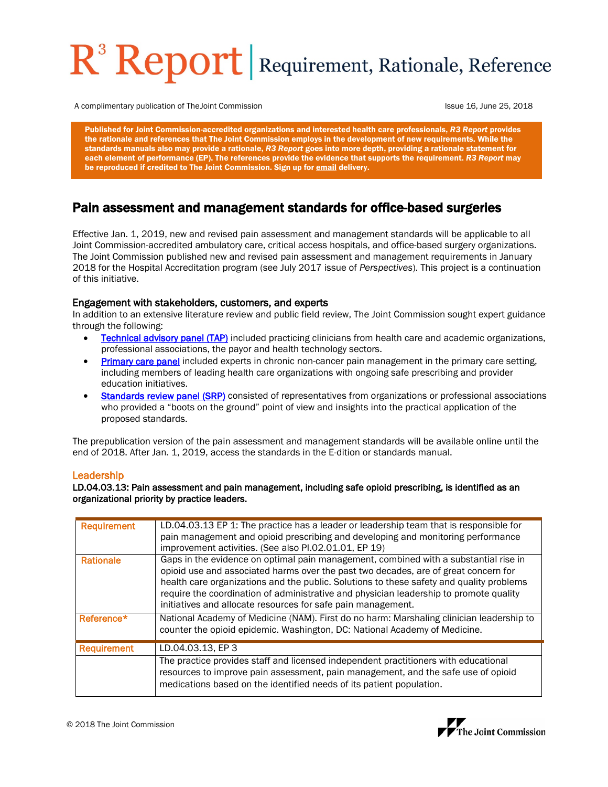# R<sup>3</sup> Report Requirement, Rationale, Reference

A complimentary publication of The Joint Commission **Issue 16, June 26, 2018** Issue 16, June 25, 2018

Published for Joint Commission-accredited organizations and interested health care professionals, *R3 Report* provides the rationale and references that The Joint Commission employs in the development of new requirements. While the standards manuals also may provide a rationale, *R3 Report* goes into more depth, providing a rationale statement for each element of performance (EP). The references provide the evidence that supports the requirement. *R3 Report* may be reproduced if credited to The Joint Commission. Sign up fo[r email](https://www.jointcommission.org/ealerts/) delivery.

## Pain assessment and management standards for office-based surgeries

Effective Jan. 1, 2019, new and revised pain assessment and management standards will be applicable to all Joint Commission-accredited ambulatory care, critical access hospitals, and office-based surgery organizations. The Joint Commission published new and revised pain assessment and management requirements in January 2018 for the Hospital Accreditation program (see July 2017 issue of *Perspectives*). This project is a continuation of this initiative.

#### Engagement with stakeholders, customers, and experts

In addition to an extensive literature review and public field review, The Joint Commission sought expert guidance through the following:

- **[Technical advisory panel \(TAP\)](https://www.jointcommission.org/assets/1/6/R3_Pain_TAP_Roster.pdf)** included practicing clinicians from health care and academic organizations, professional associations, the payor and health technology sectors.
- [Primary care panel](https://www.jointcommission.org/assets/1/6/R3_Pain_Primary_care_Roster.pdf) included experts in chronic non-cancer pain management in the primary care setting, including members of leading health care organizations with ongoing safe prescribing and provider education initiatives.
- [Standards review panel \(SRP\)](https://www.jointcommission.org/assets/1/6/R3_Pain_SRP_Roster.pdf) consisted of representatives from organizations or professional associations who provided a "boots on the ground" point of view and insights into the practical application of the proposed standards.

The prepublication version of the pain assessment and management standards will be available online until the end of 2018. After Jan. 1, 2019, access the standards in the E-dition or standards manual.

#### Leadership

LD.04.03.13: Pain assessment and pain management, including safe opioid prescribing, is identified as an organizational priority by practice leaders.

| <b>Requirement</b> | LD.04.03.13 EP 1: The practice has a leader or leadership team that is responsible for<br>pain management and opioid prescribing and developing and monitoring performance<br>improvement activities. (See also PI.02.01.01, EP 19)                                                                                                                                                                                               |
|--------------------|-----------------------------------------------------------------------------------------------------------------------------------------------------------------------------------------------------------------------------------------------------------------------------------------------------------------------------------------------------------------------------------------------------------------------------------|
| <b>Rationale</b>   | Gaps in the evidence on optimal pain management, combined with a substantial rise in<br>opioid use and associated harms over the past two decades, are of great concern for<br>health care organizations and the public. Solutions to these safety and quality problems<br>require the coordination of administrative and physician leadership to promote quality<br>initiatives and allocate resources for safe pain management. |
| Reference*         | National Academy of Medicine (NAM). First do no harm: Marshaling clinician leadership to<br>counter the opioid epidemic. Washington, DC: National Academy of Medicine.                                                                                                                                                                                                                                                            |
| <b>Requirement</b> | LD.04.03.13. EP 3                                                                                                                                                                                                                                                                                                                                                                                                                 |
|                    | The practice provides staff and licensed independent practitioners with educational<br>resources to improve pain assessment, pain management, and the safe use of opioid<br>medications based on the identified needs of its patient population.                                                                                                                                                                                  |



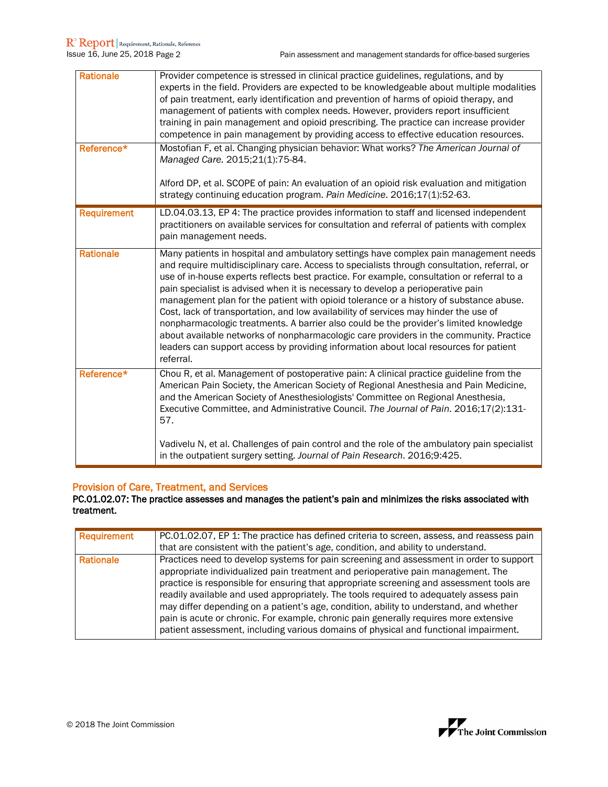| <b>Rationale</b>   | Provider competence is stressed in clinical practice guidelines, regulations, and by<br>experts in the field. Providers are expected to be knowledgeable about multiple modalities<br>of pain treatment, early identification and prevention of harms of opioid therapy, and<br>management of patients with complex needs. However, providers report insufficient<br>training in pain management and opioid prescribing. The practice can increase provider<br>competence in pain management by providing access to effective education resources.                                                                                                                                                                                                                                                                                               |
|--------------------|--------------------------------------------------------------------------------------------------------------------------------------------------------------------------------------------------------------------------------------------------------------------------------------------------------------------------------------------------------------------------------------------------------------------------------------------------------------------------------------------------------------------------------------------------------------------------------------------------------------------------------------------------------------------------------------------------------------------------------------------------------------------------------------------------------------------------------------------------|
| Reference*         | Mostofian F, et al. Changing physician behavior: What works? The American Journal of<br>Managed Care. 2015;21(1):75-84.                                                                                                                                                                                                                                                                                                                                                                                                                                                                                                                                                                                                                                                                                                                          |
|                    | Alford DP, et al. SCOPE of pain: An evaluation of an opioid risk evaluation and mitigation<br>strategy continuing education program. Pain Medicine. 2016;17(1):52-63.                                                                                                                                                                                                                                                                                                                                                                                                                                                                                                                                                                                                                                                                            |
| <b>Requirement</b> | LD.04.03.13, EP 4: The practice provides information to staff and licensed independent<br>practitioners on available services for consultation and referral of patients with complex<br>pain management needs.                                                                                                                                                                                                                                                                                                                                                                                                                                                                                                                                                                                                                                   |
| <b>Rationale</b>   | Many patients in hospital and ambulatory settings have complex pain management needs<br>and require multidisciplinary care. Access to specialists through consultation, referral, or<br>use of in-house experts reflects best practice. For example, consultation or referral to a<br>pain specialist is advised when it is necessary to develop a perioperative pain<br>management plan for the patient with opioid tolerance or a history of substance abuse.<br>Cost, lack of transportation, and low availability of services may hinder the use of<br>nonpharmacologic treatments. A barrier also could be the provider's limited knowledge<br>about available networks of nonpharmacologic care providers in the community. Practice<br>leaders can support access by providing information about local resources for patient<br>referral. |
| Reference*         | Chou R, et al. Management of postoperative pain: A clinical practice guideline from the<br>American Pain Society, the American Society of Regional Anesthesia and Pain Medicine,<br>and the American Society of Anesthesiologists' Committee on Regional Anesthesia,<br>Executive Committee, and Administrative Council. The Journal of Pain. 2016;17(2):131-<br>57.                                                                                                                                                                                                                                                                                                                                                                                                                                                                             |
|                    | Vadivelu N, et al. Challenges of pain control and the role of the ambulatory pain specialist<br>in the outpatient surgery setting. Journal of Pain Research. 2016;9:425.                                                                                                                                                                                                                                                                                                                                                                                                                                                                                                                                                                                                                                                                         |

### Provision of Care, Treatment, and Services

PC.01.02.07: The practice assesses and manages the patient's pain and minimizes the risks associated with treatment.

| Requirement | PC.01.02.07, EP 1: The practice has defined criteria to screen, assess, and reassess pain<br>that are consistent with the patient's age, condition, and ability to understand.                                                                                                                                                                                                                                                                                                                                                                                                                                                               |
|-------------|----------------------------------------------------------------------------------------------------------------------------------------------------------------------------------------------------------------------------------------------------------------------------------------------------------------------------------------------------------------------------------------------------------------------------------------------------------------------------------------------------------------------------------------------------------------------------------------------------------------------------------------------|
| Rationale   | Practices need to develop systems for pain screening and assessment in order to support<br>appropriate individualized pain treatment and perioperative pain management. The<br>practice is responsible for ensuring that appropriate screening and assessment tools are<br>readily available and used appropriately. The tools required to adequately assess pain<br>may differ depending on a patient's age, condition, ability to understand, and whether<br>pain is acute or chronic. For example, chronic pain generally requires more extensive<br>patient assessment, including various domains of physical and functional impairment. |

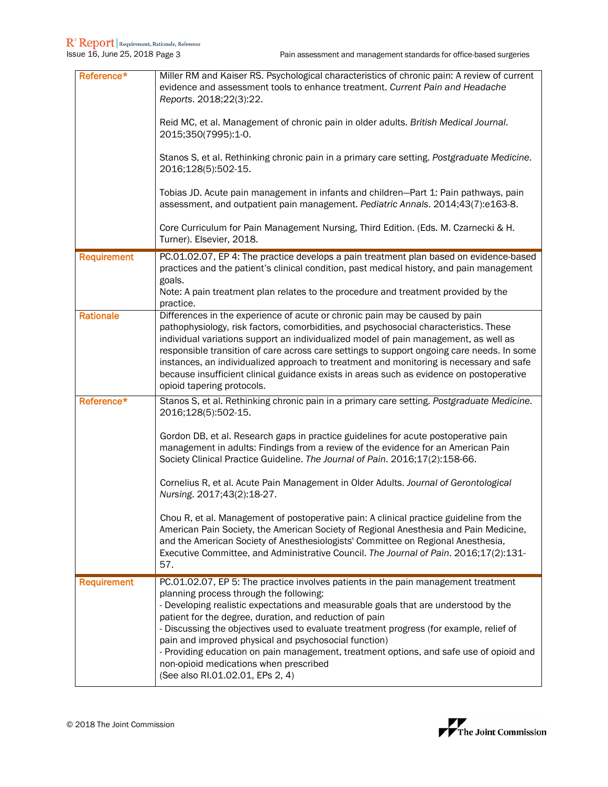| Reference*         | Miller RM and Kaiser RS. Psychological characteristics of chronic pain: A review of current<br>evidence and assessment tools to enhance treatment. Current Pain and Headache<br>Reports. 2018;22(3):22.<br>Reid MC, et al. Management of chronic pain in older adults. British Medical Journal.<br>2015;350(7995):1-0.<br>Stanos S, et al. Rethinking chronic pain in a primary care setting. Postgraduate Medicine.<br>2016;128(5):502-15.<br>Tobias JD. Acute pain management in infants and children-Part 1: Pain pathways, pain<br>assessment, and outpatient pain management. Pediatric Annals. 2014;43(7):e163-8.<br>Core Curriculum for Pain Management Nursing, Third Edition. (Eds. M. Czarnecki & H.<br>Turner). Elsevier, 2018.                                                                                                                                  |
|--------------------|-----------------------------------------------------------------------------------------------------------------------------------------------------------------------------------------------------------------------------------------------------------------------------------------------------------------------------------------------------------------------------------------------------------------------------------------------------------------------------------------------------------------------------------------------------------------------------------------------------------------------------------------------------------------------------------------------------------------------------------------------------------------------------------------------------------------------------------------------------------------------------|
| <b>Requirement</b> | PC.01.02.07, EP 4: The practice develops a pain treatment plan based on evidence-based<br>practices and the patient's clinical condition, past medical history, and pain management<br>goals.<br>Note: A pain treatment plan relates to the procedure and treatment provided by the<br>practice.                                                                                                                                                                                                                                                                                                                                                                                                                                                                                                                                                                            |
| <b>Rationale</b>   | Differences in the experience of acute or chronic pain may be caused by pain<br>pathophysiology, risk factors, comorbidities, and psychosocial characteristics. These<br>individual variations support an individualized model of pain management, as well as<br>responsible transition of care across care settings to support ongoing care needs. In some<br>instances, an individualized approach to treatment and monitoring is necessary and safe<br>because insufficient clinical guidance exists in areas such as evidence on postoperative<br>opioid tapering protocols.                                                                                                                                                                                                                                                                                            |
| Reference*         | Stanos S, et al. Rethinking chronic pain in a primary care setting. Postgraduate Medicine.<br>2016;128(5):502-15.<br>Gordon DB, et al. Research gaps in practice guidelines for acute postoperative pain<br>management in adults: Findings from a review of the evidence for an American Pain<br>Society Clinical Practice Guideline. The Journal of Pain. 2016;17(2):158-66.<br>Cornelius R, et al. Acute Pain Management in Older Adults. Journal of Gerontological<br>Nursing. 2017;43(2):18-27.<br>Chou R, et al. Management of postoperative pain: A clinical practice guideline from the<br>American Pain Society, the American Society of Regional Anesthesia and Pain Medicine,<br>and the American Society of Anesthesiologists' Committee on Regional Anesthesia,<br>Executive Committee, and Administrative Council. The Journal of Pain. 2016;17(2):131-<br>57. |
| <b>Requirement</b> | PC.01.02.07, EP 5: The practice involves patients in the pain management treatment<br>planning process through the following:<br>- Developing realistic expectations and measurable goals that are understood by the<br>patient for the degree, duration, and reduction of pain<br>- Discussing the objectives used to evaluate treatment progress (for example, relief of<br>pain and improved physical and psychosocial function)<br>- Providing education on pain management, treatment options, and safe use of opioid and<br>non-opioid medications when prescribed<br>(See also RI.01.02.01, EPs 2, 4)                                                                                                                                                                                                                                                                |